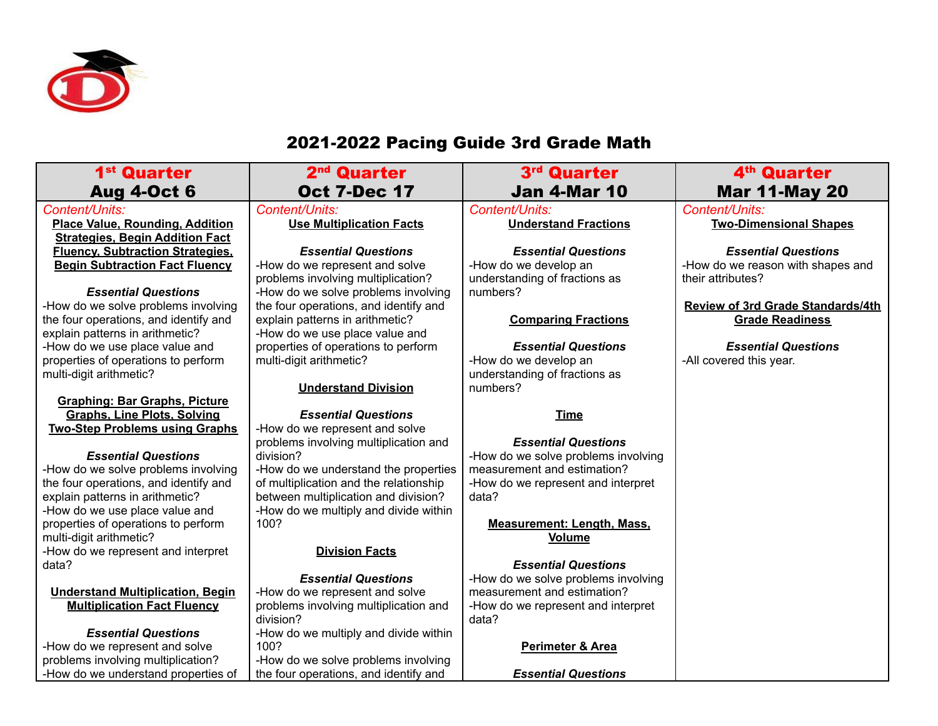

## 2021-2022 Pacing Guide 3rd Grade Math

| 1 <sup>st</sup> Quarter                                                          | 2 <sup>nd</sup> Quarter                                                        | 3 <sup>rd</sup> Quarter                     | 4 <sup>th</sup> Quarter                                            |
|----------------------------------------------------------------------------------|--------------------------------------------------------------------------------|---------------------------------------------|--------------------------------------------------------------------|
| <b>Aug 4-Oct 6</b>                                                               | <b>Oct 7-Dec 17</b>                                                            | <b>Jan 4-Mar 10</b>                         | <b>Mar 11-May 20</b>                                               |
| Content/Units:                                                                   | Content/Units:                                                                 | Content/Units:                              | Content/Units:                                                     |
| <b>Place Value, Rounding, Addition</b><br><b>Strategies, Begin Addition Fact</b> | <b>Use Multiplication Facts</b>                                                | <b>Understand Fractions</b>                 | <b>Two-Dimensional Shapes</b>                                      |
| <b>Fluency, Subtraction Strategies,</b>                                          | <b>Essential Questions</b>                                                     | <b>Essential Questions</b>                  | <b>Essential Questions</b>                                         |
| <b>Begin Subtraction Fact Fluency</b>                                            | -How do we represent and solve                                                 | -How do we develop an                       | -How do we reason with shapes and                                  |
|                                                                                  | problems involving multiplication?                                             | understanding of fractions as               | their attributes?                                                  |
| <b>Essential Questions</b>                                                       | -How do we solve problems involving                                            | numbers?                                    |                                                                    |
| -How do we solve problems involving<br>the four operations, and identify and     | the four operations, and identify and<br>explain patterns in arithmetic?       | <b>Comparing Fractions</b>                  | <b>Review of 3rd Grade Standards/4th</b><br><b>Grade Readiness</b> |
| explain patterns in arithmetic?                                                  | -How do we use place value and                                                 |                                             |                                                                    |
| -How do we use place value and                                                   | properties of operations to perform                                            | <b>Essential Questions</b>                  | <b>Essential Questions</b>                                         |
| properties of operations to perform                                              | multi-digit arithmetic?                                                        | -How do we develop an                       | -All covered this year.                                            |
| multi-digit arithmetic?                                                          |                                                                                | understanding of fractions as               |                                                                    |
|                                                                                  | <b>Understand Division</b>                                                     | numbers?                                    |                                                                    |
| <b>Graphing: Bar Graphs, Picture</b>                                             |                                                                                |                                             |                                                                    |
| <b>Graphs, Line Plots, Solving</b>                                               | <b>Essential Questions</b>                                                     | <b>Time</b>                                 |                                                                    |
| <b>Two-Step Problems using Graphs</b>                                            | -How do we represent and solve                                                 |                                             |                                                                    |
|                                                                                  | problems involving multiplication and                                          | <b>Essential Questions</b>                  |                                                                    |
| <b>Essential Questions</b>                                                       | division?                                                                      | -How do we solve problems involving         |                                                                    |
| -How do we solve problems involving                                              | -How do we understand the properties                                           | measurement and estimation?                 |                                                                    |
| the four operations, and identify and<br>explain patterns in arithmetic?         | of multiplication and the relationship<br>between multiplication and division? | -How do we represent and interpret<br>data? |                                                                    |
| -How do we use place value and                                                   | -How do we multiply and divide within                                          |                                             |                                                                    |
| properties of operations to perform                                              | 100?                                                                           | <b>Measurement: Length, Mass,</b>           |                                                                    |
| multi-digit arithmetic?                                                          |                                                                                | <b>Volume</b>                               |                                                                    |
| -How do we represent and interpret                                               | <b>Division Facts</b>                                                          |                                             |                                                                    |
| data?                                                                            |                                                                                | <b>Essential Questions</b>                  |                                                                    |
|                                                                                  | <b>Essential Questions</b>                                                     | -How do we solve problems involving         |                                                                    |
| <b>Understand Multiplication, Begin</b>                                          | -How do we represent and solve                                                 | measurement and estimation?                 |                                                                    |
| <b>Multiplication Fact Fluency</b>                                               | problems involving multiplication and<br>division?                             | -How do we represent and interpret<br>data? |                                                                    |
| <b>Essential Questions</b>                                                       | -How do we multiply and divide within                                          |                                             |                                                                    |
| -How do we represent and solve                                                   | 100?                                                                           | Perimeter & Area                            |                                                                    |
| problems involving multiplication?                                               | -How do we solve problems involving                                            |                                             |                                                                    |
| -How do we understand properties of                                              | the four operations, and identify and                                          | <b>Essential Questions</b>                  |                                                                    |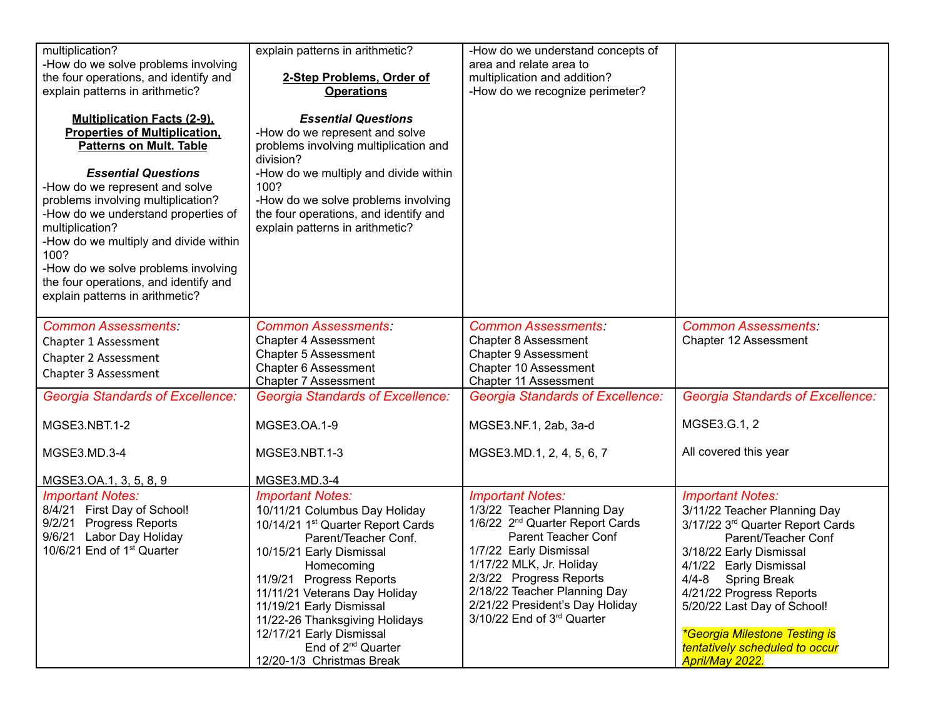| multiplication?                                                                                                                                                                                                                                                                                                                                                                                                                                  | explain patterns in arithmetic?                                                                                                                                                                                                                                                                                                                                                                   | -How do we understand concepts of                                                                                                                                                                                                                                                                              |                                                                                                                                                                                                                                                                                                                                                       |
|--------------------------------------------------------------------------------------------------------------------------------------------------------------------------------------------------------------------------------------------------------------------------------------------------------------------------------------------------------------------------------------------------------------------------------------------------|---------------------------------------------------------------------------------------------------------------------------------------------------------------------------------------------------------------------------------------------------------------------------------------------------------------------------------------------------------------------------------------------------|----------------------------------------------------------------------------------------------------------------------------------------------------------------------------------------------------------------------------------------------------------------------------------------------------------------|-------------------------------------------------------------------------------------------------------------------------------------------------------------------------------------------------------------------------------------------------------------------------------------------------------------------------------------------------------|
| -How do we solve problems involving                                                                                                                                                                                                                                                                                                                                                                                                              |                                                                                                                                                                                                                                                                                                                                                                                                   | area and relate area to                                                                                                                                                                                                                                                                                        |                                                                                                                                                                                                                                                                                                                                                       |
| the four operations, and identify and                                                                                                                                                                                                                                                                                                                                                                                                            | 2-Step Problems, Order of                                                                                                                                                                                                                                                                                                                                                                         | multiplication and addition?                                                                                                                                                                                                                                                                                   |                                                                                                                                                                                                                                                                                                                                                       |
| explain patterns in arithmetic?                                                                                                                                                                                                                                                                                                                                                                                                                  | <b>Operations</b>                                                                                                                                                                                                                                                                                                                                                                                 | -How do we recognize perimeter?                                                                                                                                                                                                                                                                                |                                                                                                                                                                                                                                                                                                                                                       |
| <b>Multiplication Facts (2-9),</b><br><b>Properties of Multiplication,</b><br><b>Patterns on Mult. Table</b><br><b>Essential Questions</b><br>-How do we represent and solve<br>problems involving multiplication?<br>-How do we understand properties of<br>multiplication?<br>-How do we multiply and divide within<br>100?<br>-How do we solve problems involving<br>the four operations, and identify and<br>explain patterns in arithmetic? | <b>Essential Questions</b><br>-How do we represent and solve<br>problems involving multiplication and<br>division?<br>-How do we multiply and divide within<br>100?<br>-How do we solve problems involving<br>the four operations, and identify and<br>explain patterns in arithmetic?                                                                                                            |                                                                                                                                                                                                                                                                                                                |                                                                                                                                                                                                                                                                                                                                                       |
| <b>Common Assessments:</b>                                                                                                                                                                                                                                                                                                                                                                                                                       | <b>Common Assessments:</b>                                                                                                                                                                                                                                                                                                                                                                        | <b>Common Assessments:</b>                                                                                                                                                                                                                                                                                     | <b>Common Assessments:</b>                                                                                                                                                                                                                                                                                                                            |
| Chapter 1 Assessment                                                                                                                                                                                                                                                                                                                                                                                                                             | <b>Chapter 4 Assessment</b>                                                                                                                                                                                                                                                                                                                                                                       | <b>Chapter 8 Assessment</b>                                                                                                                                                                                                                                                                                    | Chapter 12 Assessment                                                                                                                                                                                                                                                                                                                                 |
| Chapter 2 Assessment                                                                                                                                                                                                                                                                                                                                                                                                                             | <b>Chapter 5 Assessment</b>                                                                                                                                                                                                                                                                                                                                                                       | <b>Chapter 9 Assessment</b>                                                                                                                                                                                                                                                                                    |                                                                                                                                                                                                                                                                                                                                                       |
| Chapter 3 Assessment                                                                                                                                                                                                                                                                                                                                                                                                                             | Chapter 6 Assessment                                                                                                                                                                                                                                                                                                                                                                              | Chapter 10 Assessment                                                                                                                                                                                                                                                                                          |                                                                                                                                                                                                                                                                                                                                                       |
|                                                                                                                                                                                                                                                                                                                                                                                                                                                  | <b>Chapter 7 Assessment</b>                                                                                                                                                                                                                                                                                                                                                                       | Chapter 11 Assessment                                                                                                                                                                                                                                                                                          |                                                                                                                                                                                                                                                                                                                                                       |
| <b>Georgia Standards of Excellence:</b>                                                                                                                                                                                                                                                                                                                                                                                                          | <b>Georgia Standards of Excellence:</b>                                                                                                                                                                                                                                                                                                                                                           | <b>Georgia Standards of Excellence:</b>                                                                                                                                                                                                                                                                        | <b>Georgia Standards of Excellence:</b>                                                                                                                                                                                                                                                                                                               |
| MGSE3.NBT.1-2                                                                                                                                                                                                                                                                                                                                                                                                                                    | MGSE3.OA.1-9                                                                                                                                                                                                                                                                                                                                                                                      | MGSE3.NF.1, 2ab, 3a-d                                                                                                                                                                                                                                                                                          | MGSE3.G.1, 2                                                                                                                                                                                                                                                                                                                                          |
| MGSE3.MD.3-4                                                                                                                                                                                                                                                                                                                                                                                                                                     | MGSE3.NBT.1-3                                                                                                                                                                                                                                                                                                                                                                                     | MGSE3.MD.1, 2, 4, 5, 6, 7                                                                                                                                                                                                                                                                                      | All covered this year                                                                                                                                                                                                                                                                                                                                 |
| MGSE3.OA.1, 3, 5, 8, 9                                                                                                                                                                                                                                                                                                                                                                                                                           | MGSE3.MD.3-4                                                                                                                                                                                                                                                                                                                                                                                      |                                                                                                                                                                                                                                                                                                                |                                                                                                                                                                                                                                                                                                                                                       |
| <b>Important Notes:</b><br>8/4/21 First Day of School!<br>9/2/21 Progress Reports<br>9/6/21 Labor Day Holiday<br>10/6/21 End of 1 <sup>st</sup> Quarter                                                                                                                                                                                                                                                                                          | <b>Important Notes:</b><br>10/11/21 Columbus Day Holiday<br>10/14/21 1 <sup>st</sup> Quarter Report Cards<br>Parent/Teacher Conf.<br>10/15/21 Early Dismissal<br>Homecoming<br>11/9/21 Progress Reports<br>11/11/21 Veterans Day Holiday<br>11/19/21 Early Dismissal<br>11/22-26 Thanksgiving Holidays<br>12/17/21 Early Dismissal<br>End of 2 <sup>nd</sup> Quarter<br>12/20-1/3 Christmas Break | <b>Important Notes:</b><br>1/3/22 Teacher Planning Day<br>1/6/22 2 <sup>nd</sup> Quarter Report Cards<br>Parent Teacher Conf<br>1/7/22 Early Dismissal<br>1/17/22 MLK, Jr. Holiday<br>2/3/22 Progress Reports<br>2/18/22 Teacher Planning Day<br>2/21/22 President's Day Holiday<br>3/10/22 End of 3rd Quarter | <b>Important Notes:</b><br>3/11/22 Teacher Planning Day<br>3/17/22 3rd Quarter Report Cards<br>Parent/Teacher Conf<br>3/18/22 Early Dismissal<br>4/1/22 Early Dismissal<br>4/4-8 Spring Break<br>4/21/22 Progress Reports<br>5/20/22 Last Day of School!<br>*Georgia Milestone Testing is<br>tentatively scheduled to occur<br><b>April/May 2022.</b> |